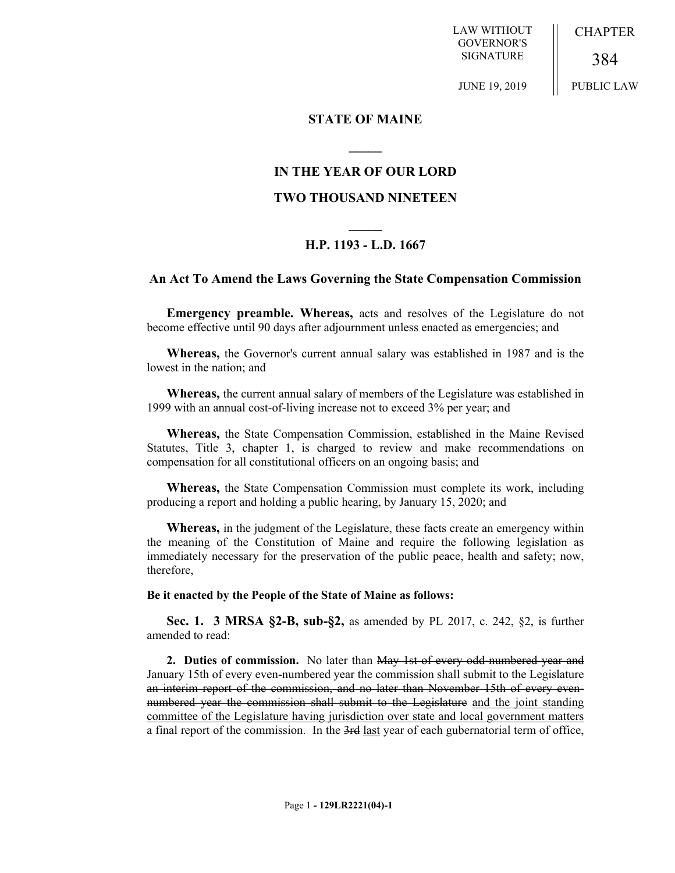LAW WITHOUT GOVERNOR'S SIGNATURE

**CHAPTER** 

384

JUNE 19, 2019

PUBLIC LAW

### **STATE OF MAINE**

## **IN THE YEAR OF OUR LORD**

**\_\_\_\_\_**

## **TWO THOUSAND NINETEEN**

# **\_\_\_\_\_ H.P. 1193 - L.D. 1667**

### **An Act To Amend the Laws Governing the State Compensation Commission**

**Emergency preamble. Whereas,** acts and resolves of the Legislature do not become effective until 90 days after adjournment unless enacted as emergencies; and

**Whereas,** the Governor's current annual salary was established in 1987 and is the lowest in the nation; and

**Whereas,** the current annual salary of members of the Legislature was established in 1999 with an annual cost-of-living increase not to exceed 3% per year; and

**Whereas,** the State Compensation Commission, established in the Maine Revised Statutes, Title 3, chapter 1, is charged to review and make recommendations on compensation for all constitutional officers on an ongoing basis; and

**Whereas,** the State Compensation Commission must complete its work, including producing a report and holding a public hearing, by January 15, 2020; and

**Whereas,** in the judgment of the Legislature, these facts create an emergency within the meaning of the Constitution of Maine and require the following legislation as immediately necessary for the preservation of the public peace, health and safety; now, therefore,

#### **Be it enacted by the People of the State of Maine as follows:**

**Sec. 1. 3 MRSA §2-B, sub-§2,** as amended by PL 2017, c. 242, §2, is further amended to read:

**2. Duties of commission.** No later than May 1st of every odd-numbered year and January 15th of every even-numbered year the commission shall submit to the Legislature an interim report of the commission, and no later than November 15th of every evennumbered year the commission shall submit to the Legislature and the joint standing committee of the Legislature having jurisdiction over state and local government matters a final report of the commission. In the 3rd last year of each gubernatorial term of office,